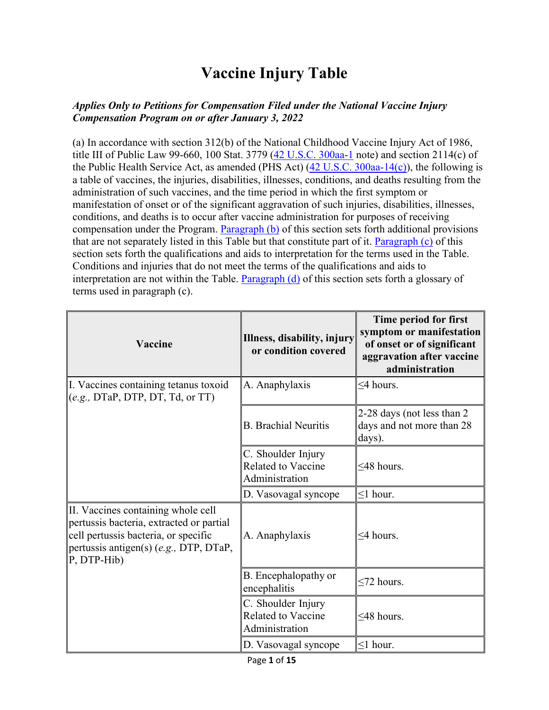# **Vaccine Injury Table**

## *Applies Only to Petitions for Compensation Filed under the National Vaccine Injury Compensation Program on or after January 3, 2022*

(a) In accordance with section 312(b) of the National Childhood Vaccine Injury Act of 1986, title III of Public Law 99-660, 100 Stat. 3779 [\(42 U.S.C. 300aa-1](https://www.govinfo.gov/link/uscode/42/300aa-1) note) and section 2114(c) of the Public Health Service Act, as amended (PHS Act)  $(42 \text{ U.S.C. } 300 \text{aa} - 14(c))$ , the following is a table of vaccines, the injuries, disabilities, illnesses, conditions, and deaths resulting from the administration of such vaccines, and the time period in which the first symptom or manifestation of onset or of the significant aggravation of such injuries, disabilities, illnesses, conditions, and deaths is to occur after vaccine administration for purposes of receiving compensation under the Program. [Paragraph \(b\)](https://www.ecfr.gov/current/title-42/section-100.3#p-100.3(b)) of this section sets forth additional provisions that are not separately listed in this Table but that constitute part of it. [Paragraph \(c\)](https://www.ecfr.gov/current/title-42/section-100.3#p-100.3(c)) of this section sets forth the qualifications and aids to interpretation for the terms used in the Table. Conditions and injuries that do not meet the terms of the qualifications and aids to interpretation are not within the Table. [Paragraph \(d\) o](https://www.ecfr.gov/current/title-42/section-100.3#p-100.3(d))f this section sets forth a glossary of terms used in paragraph (c).

| Vaccine                                                                                                                                                                         | Illness, disability, injury<br>or condition covered        | Time period for first<br>symptom or manifestation<br>of onset or of significant<br>aggravation after vaccine<br>administration |
|---------------------------------------------------------------------------------------------------------------------------------------------------------------------------------|------------------------------------------------------------|--------------------------------------------------------------------------------------------------------------------------------|
| I. Vaccines containing tetanus toxoid<br>(e.g., DTaP, DTP, DT, Td, or TT)                                                                                                       | A. Anaphylaxis                                             | <4 hours.                                                                                                                      |
|                                                                                                                                                                                 | <b>B.</b> Brachial Neuritis                                | 2-28 days (not less than 2)<br>days and not more than 28<br>days).                                                             |
|                                                                                                                                                                                 | C. Shoulder Injury<br>Related to Vaccine<br>Administration | <48 hours.                                                                                                                     |
|                                                                                                                                                                                 | D. Vasovagal syncope                                       | $\leq$ 1 hour.                                                                                                                 |
| II. Vaccines containing whole cell<br>pertussis bacteria, extracted or partial<br>cell pertussis bacteria, or specific<br>pertussis antigen(s) (e.g., DTP, DTaP,<br>P, DTP-Hib) | A. Anaphylaxis                                             | <4 hours.                                                                                                                      |
|                                                                                                                                                                                 | B. Encephalopathy or<br>encephalitis                       | $<$ 72 hours.                                                                                                                  |
|                                                                                                                                                                                 | C. Shoulder Injury<br>Related to Vaccine<br>Administration | $\leq$ 48 hours.                                                                                                               |
|                                                                                                                                                                                 | D. Vasovagal syncope                                       | $\leq$ 1 hour.                                                                                                                 |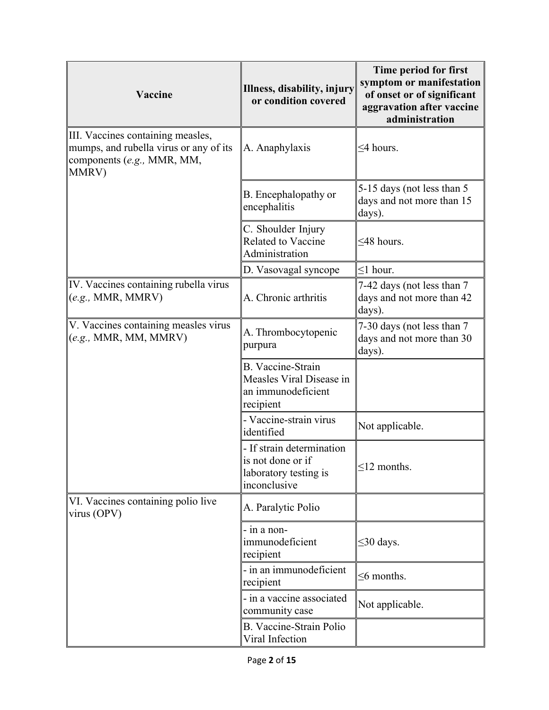| Vaccine                                                                                                            | Illness, disability, injury<br>or condition covered                                     | Time period for first<br>symptom or manifestation<br>of onset or of significant<br>aggravation after vaccine<br>administration |
|--------------------------------------------------------------------------------------------------------------------|-----------------------------------------------------------------------------------------|--------------------------------------------------------------------------------------------------------------------------------|
| III. Vaccines containing measles,<br>mumps, and rubella virus or any of its<br>components (e.g., MMR, MM,<br>MMRV) | A. Anaphylaxis                                                                          | $\leq$ 4 hours.                                                                                                                |
|                                                                                                                    | B. Encephalopathy or<br>encephalitis                                                    | 5-15 days (not less than 5)<br>days and not more than 15<br>days).                                                             |
|                                                                                                                    | C. Shoulder Injury<br><b>Related to Vaccine</b><br>Administration                       | $<48$ hours.                                                                                                                   |
|                                                                                                                    | D. Vasovagal syncope                                                                    | $\leq$ 1 hour.                                                                                                                 |
| IV. Vaccines containing rubella virus<br>(e.g., MMR, MMRV)                                                         | A. Chronic arthritis                                                                    | 7-42 days (not less than 7<br>days and not more than 42<br>days).                                                              |
| V. Vaccines containing measles virus<br>(e.g., MMR, MM, MMRV)                                                      | A. Thrombocytopenic<br>purpura                                                          | 7-30 days (not less than 7<br>days and not more than 30<br>days).                                                              |
|                                                                                                                    | <b>B.</b> Vaccine-Strain<br>Measles Viral Disease in<br>an immunodeficient<br>recipient |                                                                                                                                |
|                                                                                                                    | - Vaccine-strain virus<br>identified                                                    | Not applicable.                                                                                                                |
|                                                                                                                    | - If strain determination<br>is not done or if<br>laboratory testing is<br>inconclusive | $12$ months.                                                                                                                   |
| VI. Vaccines containing polio live<br>virus (OPV)                                                                  | A. Paralytic Polio                                                                      |                                                                                                                                |
|                                                                                                                    | - in a non-<br>immunodeficient<br>recipient                                             | $\leq$ 30 days.                                                                                                                |
|                                                                                                                    | - in an immunodeficient<br>recipient                                                    | $\leq$ 6 months.                                                                                                               |
|                                                                                                                    | - in a vaccine associated<br>community case                                             | Not applicable.                                                                                                                |
|                                                                                                                    | <b>B.</b> Vaccine-Strain Polio<br>Viral Infection                                       |                                                                                                                                |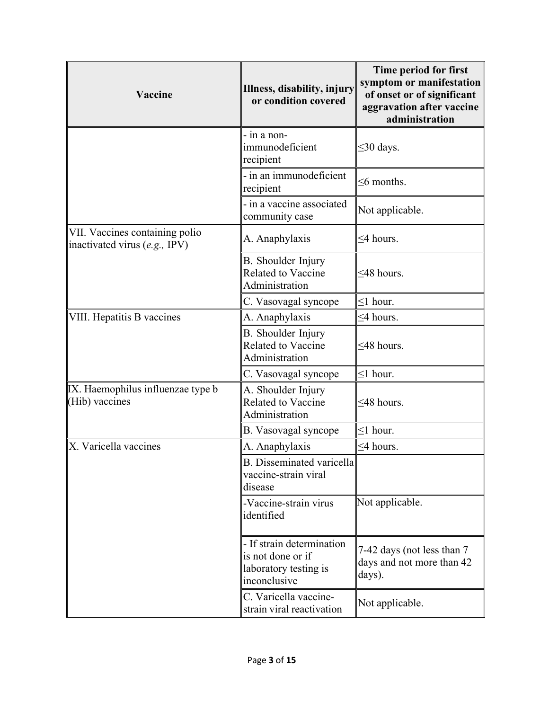| Vaccine                                                         | Illness, disability, injury<br>or condition covered                                     | Time period for first<br>symptom or manifestation<br>of onset or of significant<br>aggravation after vaccine<br>administration |
|-----------------------------------------------------------------|-----------------------------------------------------------------------------------------|--------------------------------------------------------------------------------------------------------------------------------|
|                                                                 | - in a non-<br>immunodeficient<br>recipient                                             | $\leq$ 30 days.                                                                                                                |
|                                                                 | - in an immunodeficient<br>recipient                                                    | $6$ months.                                                                                                                    |
|                                                                 | - in a vaccine associated<br>community case                                             | Not applicable.                                                                                                                |
| VII. Vaccines containing polio<br>inactivated virus (e.g., IPV) | A. Anaphylaxis                                                                          | $\leq$ 4 hours.                                                                                                                |
|                                                                 | B. Shoulder Injury<br>Related to Vaccine<br>Administration                              | <48 hours.                                                                                                                     |
|                                                                 | C. Vasovagal syncope                                                                    | $\leq$ 1 hour.                                                                                                                 |
| VIII. Hepatitis B vaccines                                      | A. Anaphylaxis                                                                          | $\leq$ 4 hours.                                                                                                                |
|                                                                 | B. Shoulder Injury<br>Related to Vaccine<br>Administration                              | <48 hours.                                                                                                                     |
|                                                                 | C. Vasovagal syncope                                                                    | $\leq$ 1 hour.                                                                                                                 |
| IX. Haemophilus influenzae type b<br>(Hib) vaccines             | A. Shoulder Injury<br>Related to Vaccine<br>Administration                              | $\leq$ 48 hours.                                                                                                               |
|                                                                 | B. Vasovagal syncope                                                                    | $<$ 1 hour.                                                                                                                    |
| X. Varicella vaccines                                           | A. Anaphylaxis                                                                          | <4 hours.                                                                                                                      |
|                                                                 | B. Disseminated varicella<br>vaccine-strain viral<br>disease                            |                                                                                                                                |
|                                                                 | -Vaccine-strain virus<br>identified                                                     | Not applicable.                                                                                                                |
|                                                                 | - If strain determination<br>is not done or if<br>laboratory testing is<br>inconclusive | 7-42 days (not less than 7<br>days and not more than 42<br>days).                                                              |
|                                                                 | C. Varicella vaccine-<br>strain viral reactivation                                      | Not applicable.                                                                                                                |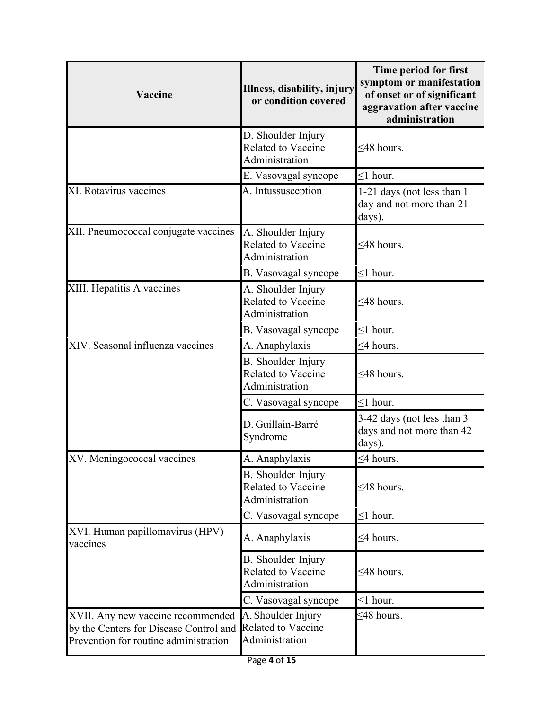| Vaccine                                                                                                              | Illness, disability, injury<br>or condition covered        | Time period for first<br>symptom or manifestation<br>of onset or of significant<br>aggravation after vaccine<br>administration |
|----------------------------------------------------------------------------------------------------------------------|------------------------------------------------------------|--------------------------------------------------------------------------------------------------------------------------------|
|                                                                                                                      | D. Shoulder Injury<br>Related to Vaccine<br>Administration | <48 hours.                                                                                                                     |
|                                                                                                                      | E. Vasovagal syncope                                       | $\leq$ 1 hour.                                                                                                                 |
| XI. Rotavirus vaccines                                                                                               | A. Intussusception                                         | 1-21 days (not less than 1<br>day and not more than 21<br>days).                                                               |
| XII. Pneumococcal conjugate vaccines                                                                                 | A. Shoulder Injury<br>Related to Vaccine<br>Administration | $\leq$ 48 hours.                                                                                                               |
|                                                                                                                      | B. Vasovagal syncope                                       | $\leq$ 1 hour.                                                                                                                 |
| XIII. Hepatitis A vaccines                                                                                           | A. Shoulder Injury<br>Related to Vaccine<br>Administration | $\leq$ 48 hours.                                                                                                               |
|                                                                                                                      | B. Vasovagal syncope                                       | $\leq$ 1 hour.                                                                                                                 |
| XIV. Seasonal influenza vaccines                                                                                     | A. Anaphylaxis                                             | $\leq$ 4 hours.                                                                                                                |
|                                                                                                                      | B. Shoulder Injury<br>Related to Vaccine<br>Administration | $\leq$ 48 hours.                                                                                                               |
|                                                                                                                      | C. Vasovagal syncope                                       | $<$ 1 hour.                                                                                                                    |
|                                                                                                                      | D. Guillain-Barré<br>Syndrome                              | 3-42 days (not less than 3<br>days and not more than 42<br>days).                                                              |
| XV. Meningococcal vaccines                                                                                           | A. Anaphylaxis                                             | <4 hours.                                                                                                                      |
|                                                                                                                      | B. Shoulder Injury<br>Related to Vaccine<br>Administration | $\leq$ 48 hours.                                                                                                               |
|                                                                                                                      | C. Vasovagal syncope                                       | $\leq$ 1 hour.                                                                                                                 |
| XVI. Human papillomavirus (HPV)<br>vaccines                                                                          | A. Anaphylaxis                                             | $\leq$ 4 hours.                                                                                                                |
|                                                                                                                      | B. Shoulder Injury<br>Related to Vaccine<br>Administration | <48 hours.                                                                                                                     |
|                                                                                                                      | C. Vasovagal syncope                                       | $\leq$ 1 hour.                                                                                                                 |
| XVII. Any new vaccine recommended<br>by the Centers for Disease Control and<br>Prevention for routine administration | A. Shoulder Injury<br>Related to Vaccine<br>Administration | $\leq$ 48 hours.                                                                                                               |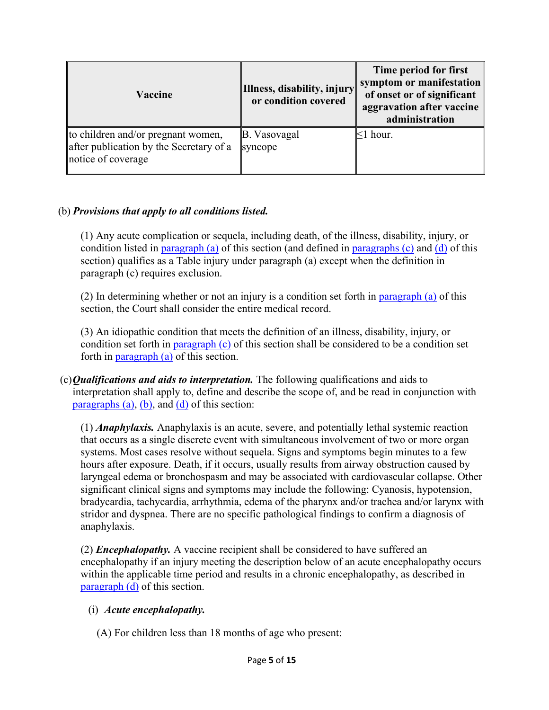| Vaccine                                                                                             | Illness, disability, injury<br>or condition covered | Time period for first<br>symptom or manifestation<br>of onset or of significant<br>aggravation after vaccine<br>administration |
|-----------------------------------------------------------------------------------------------------|-----------------------------------------------------|--------------------------------------------------------------------------------------------------------------------------------|
| to children and/or pregnant women,<br>after publication by the Secretary of a<br>notice of coverage | B. Vasovagal<br>syncope                             | l hour.                                                                                                                        |

## (b) *Provisions that apply to all conditions listed.*

(1) Any acute complication or sequela, including death, of the illness, disability, injury, or condition listed in [paragraph \(a\) o](https://www.ecfr.gov/current/title-42/section-100.3#p-100.3(a))f this section (and defined in [paragraphs \(c\)](https://www.ecfr.gov/current/title-42/section-100.3#p-100.3(c)) and [\(d\) o](https://www.ecfr.gov/current/title-42/section-100.3#p-100.3(d))f this section) qualifies as a Table injury under paragraph (a) except when the definition in paragraph (c) requires exclusion.

(2) In determining whether or not an injury is a condition set forth in [paragraph \(a\) o](https://www.ecfr.gov/current/title-42/section-100.3#p-100.3(a))f this section, the Court shall consider the entire medical record.

(3) An idiopathic condition that meets the definition of an illness, disability, injury, or condition set forth in [paragraph \(c\) o](https://www.ecfr.gov/current/title-42/section-100.3#p-100.3(c))f this section shall be considered to be a condition set forth in [paragraph \(a\) o](https://www.ecfr.gov/current/title-42/section-100.3#p-100.3(a))f this section.

(c)*Qualifications and aids to interpretation.* The following qualifications and aids to interpretation shall apply to, define and describe the scope of, and be read in conjunction with [paragraphs \(a\),](https://www.ecfr.gov/current/title-42/section-100.3#p-100.3(a)) [\(b\), a](https://www.ecfr.gov/current/title-42/section-100.3#p-100.3(b))nd  $(d)$  of this section:

(1) *Anaphylaxis.* Anaphylaxis is an acute, severe, and potentially lethal systemic reaction that occurs as a single discrete event with simultaneous involvement of two or more organ systems. Most cases resolve without sequela. Signs and symptoms begin minutes to a few hours after exposure. Death, if it occurs, usually results from airway obstruction caused by laryngeal edema or bronchospasm and may be associated with cardiovascular collapse. Other significant clinical signs and symptoms may include the following: Cyanosis, hypotension, bradycardia, tachycardia, arrhythmia, edema of the pharynx and/or trachea and/or larynx with stridor and dyspnea. There are no specific pathological findings to confirm a diagnosis of anaphylaxis.

(2) *Encephalopathy.* A vaccine recipient shall be considered to have suffered an encephalopathy if an injury meeting the description below of an acute encephalopathy occurs within the applicable time period and results in a chronic encephalopathy, as described in [paragraph \(d\)](https://www.ecfr.gov/current/title-42/section-100.3#p-100.3(d)) of this section.

#### (i) *Acute encephalopathy.*

(A) For children less than 18 months of age who present: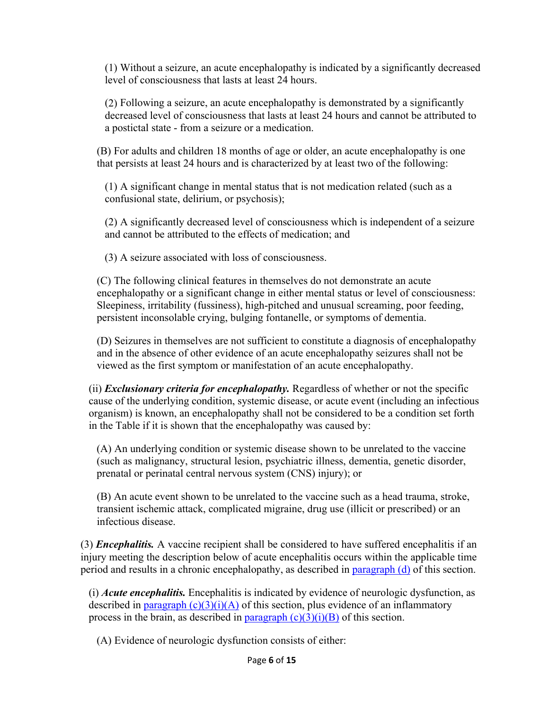(1) Without a seizure, an acute encephalopathy is indicated by a significantly decreased level of consciousness that lasts at least 24 hours.

(2) Following a seizure, an acute encephalopathy is demonstrated by a significantly decreased level of consciousness that lasts at least 24 hours and cannot be attributed to a postictal state - from a seizure or a medication.

(B) For adults and children 18 months of age or older, an acute encephalopathy is one that persists at least 24 hours and is characterized by at least two of the following:

(1) A significant change in mental status that is not medication related (such as a confusional state, delirium, or psychosis);

(2) A significantly decreased level of consciousness which is independent of a seizure and cannot be attributed to the effects of medication; and

(3) A seizure associated with loss of consciousness.

(C) The following clinical features in themselves do not demonstrate an acute encephalopathy or a significant change in either mental status or level of consciousness: Sleepiness, irritability (fussiness), high-pitched and unusual screaming, poor feeding, persistent inconsolable crying, bulging fontanelle, or symptoms of dementia.

(D) Seizures in themselves are not sufficient to constitute a diagnosis of encephalopathy and in the absence of other evidence of an acute encephalopathy seizures shall not be viewed as the first symptom or manifestation of an acute encephalopathy.

(ii) *Exclusionary criteria for encephalopathy.* Regardless of whether or not the specific cause of the underlying condition, systemic disease, or acute event (including an infectious organism) is known, an encephalopathy shall not be considered to be a condition set forth in the Table if it is shown that the encephalopathy was caused by:

(A) An underlying condition or systemic disease shown to be unrelated to the vaccine (such as malignancy, structural lesion, psychiatric illness, dementia, genetic disorder, prenatal or perinatal central nervous system (CNS) injury); or

(B) An acute event shown to be unrelated to the vaccine such as a head trauma, stroke, transient ischemic attack, complicated migraine, drug use (illicit or prescribed) or an infectious disease.

(3) *Encephalitis.* A vaccine recipient shall be considered to have suffered encephalitis if an injury meeting the description below of acute encephalitis occurs within the applicable time period and results in a chronic encephalopathy, as described in [paragraph \(d\) o](https://www.ecfr.gov/current/title-42/section-100.3#p-100.3(d))f this section.

(i) *Acute encephalitis.* Encephalitis is indicated by evidence of neurologic dysfunction, as described in paragraph  $(c)(3)(i)(A)$  of this section, plus evidence of an inflammatory process in the brain, as described in paragraph  $(c)(3)(i)(B)$  of this section.

(A) Evidence of neurologic dysfunction consists of either: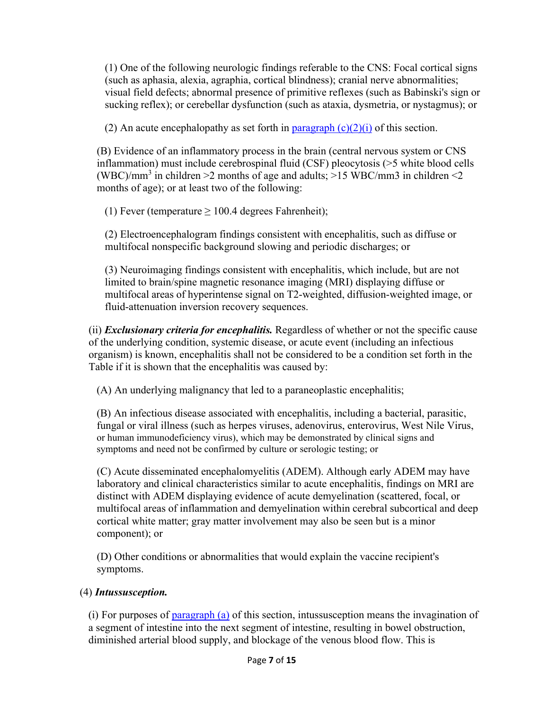(1) One of the following neurologic findings referable to the CNS: Focal cortical signs (such as aphasia, alexia, agraphia, cortical blindness); cranial nerve abnormalities; visual field defects; abnormal presence of primitive reflexes (such as Babinski's sign or sucking reflex); or cerebellar dysfunction (such as ataxia, dysmetria, or nystagmus); or

(2) An acute encephalopathy as set forth in [paragraph](https://www.ecfr.gov/current/title-42/section-100.3#p-100.3(c)(2)(i))  $(c)(2)(i)$  of this section.

(B) Evidence of an inflammatory process in the brain (central nervous system or CNS inflammation) must include cerebrospinal fluid (CSF) pleocytosis (>5 white blood cells (WBC)/mm<sup>3</sup> in children >2 months of age and adults; >15 WBC/mm3 in children <2 months of age); or at least two of the following:

(1) Fever (temperature  $\geq 100.4$  degrees Fahrenheit);

(2) Electroencephalogram findings consistent with encephalitis, such as diffuse or multifocal nonspecific background slowing and periodic discharges; or

(3) Neuroimaging findings consistent with encephalitis, which include, but are not limited to brain/spine magnetic resonance imaging (MRI) displaying diffuse or multifocal areas of hyperintense signal on T2-weighted, diffusion-weighted image, or fluid-attenuation inversion recovery sequences.

(ii) *Exclusionary criteria for encephalitis.* Regardless of whether or not the specific cause of the underlying condition, systemic disease, or acute event (including an infectious organism) is known, encephalitis shall not be considered to be a condition set forth in the Table if it is shown that the encephalitis was caused by:

(A) An underlying malignancy that led to a paraneoplastic encephalitis;

(B) An infectious disease associated with encephalitis, including a bacterial, parasitic, fungal or viral illness (such as herpes viruses, adenovirus, enterovirus, West Nile Virus, or human immunodeficiency virus), which may be demonstrated by clinical signs and symptoms and need not be confirmed by culture or serologic testing; or

(C) Acute disseminated encephalomyelitis (ADEM). Although early ADEM may have laboratory and clinical characteristics similar to acute encephalitis, findings on MRI are distinct with ADEM displaying evidence of acute demyelination (scattered, focal, or multifocal areas of inflammation and demyelination within cerebral subcortical and deep cortical white matter; gray matter involvement may also be seen but is a minor component); or

(D) Other conditions or abnormalities that would explain the vaccine recipient's symptoms.

## (4) *Intussusception.*

(i) For purposes of [paragraph \(a\) o](https://www.ecfr.gov/current/title-42/section-100.3#p-100.3(a))f this section, intussusception means the invagination of a segment of intestine into the next segment of intestine, resulting in bowel obstruction, diminished arterial blood supply, and blockage of the venous blood flow. This is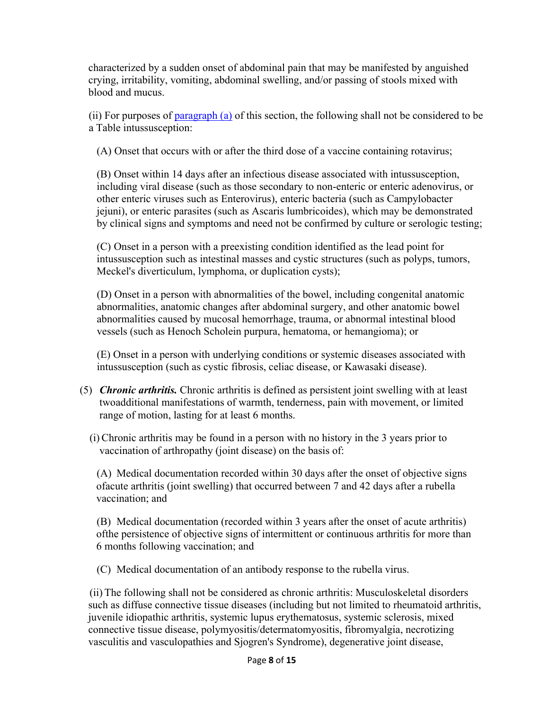characterized by a sudden onset of abdominal pain that may be manifested by anguished crying, irritability, vomiting, abdominal swelling, and/or passing of stools mixed with blood and mucus.

(ii) For purposes of  $\frac{0}{2}$  [paragraph \(a\)](https://www.ecfr.gov/current/title-42/section-100.3#p-100.3(a)) of this section, the following shall not be considered to be a Table intussusception:

(A) Onset that occurs with or after the third dose of a vaccine containing rotavirus;

(B) Onset within 14 days after an infectious disease associated with intussusception, including viral disease (such as those secondary to non-enteric or enteric adenovirus, or other enteric viruses such as Enterovirus), enteric bacteria (such as Campylobacter jejuni), or enteric parasites (such as Ascaris lumbricoides), which may be demonstrated by clinical signs and symptoms and need not be confirmed by culture or serologic testing;

(C) Onset in a person with a preexisting condition identified as the lead point for intussusception such as intestinal masses and cystic structures (such as polyps, tumors, Meckel's diverticulum, lymphoma, or duplication cysts);

(D) Onset in a person with abnormalities of the bowel, including congenital anatomic abnormalities, anatomic changes after abdominal surgery, and other anatomic bowel abnormalities caused by mucosal hemorrhage, trauma, or abnormal intestinal blood vessels (such as Henoch Scholein purpura, hematoma, or hemangioma); or

(E) Onset in a person with underlying conditions or systemic diseases associated with intussusception (such as cystic fibrosis, celiac disease, or Kawasaki disease).

- (5) *Chronic arthritis.* Chronic arthritis is defined as persistent joint swelling with at least twoadditional manifestations of warmth, tenderness, pain with movement, or limited range of motion, lasting for at least 6 months.
	- (i) Chronic arthritis may be found in a person with no history in the 3 years prior to vaccination of arthropathy (joint disease) on the basis of:

(A) Medical documentation recorded within 30 days after the onset of objective signs of acute arthritis (joint swelling) that occurred between 7 and 42 days after a rubella vaccination; and

(B) Medical documentation (recorded within 3 years after the onset of acute arthritis) of the persistence of objective signs of intermittent or continuous arthritis for more than 6 months following vaccination; and

(C) Medical documentation of an antibody response to the rubella virus.

(ii) The following shall not be considered as chronic arthritis: Musculoskeletal disorders such as diffuse connective tissue diseases (including but not limited to rheumatoid arthritis, juvenile idiopathic arthritis, systemic lupus erythematosus, systemic sclerosis, mixed connective tissue disease, polymyositis/determatomyositis, fibromyalgia, necrotizing vasculitis and vasculopathies and Sjogren's Syndrome), degenerative joint disease,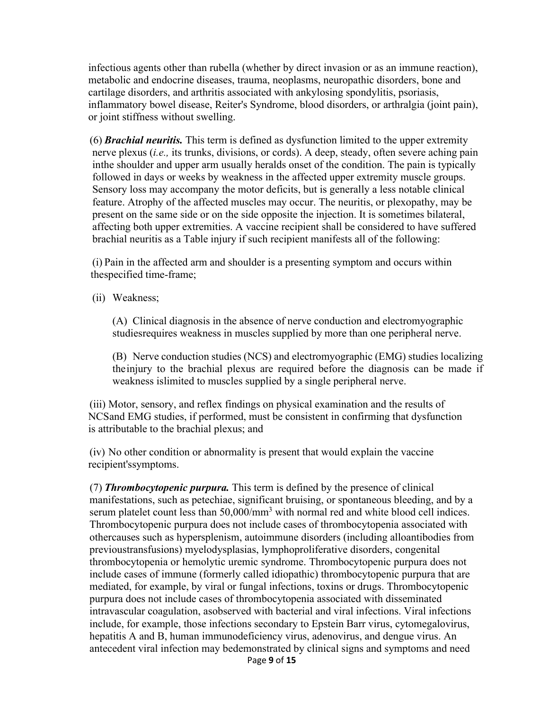infectious agents other than rubella (whether by direct invasion or as an immune reaction), metabolic and endocrine diseases, trauma, neoplasms, neuropathic disorders, bone and cartilage disorders, and arthritis associated with ankylosing spondylitis, psoriasis, inflammatory bowel disease, Reiter's Syndrome, blood disorders, or arthralgia (joint pain), or joint stiffness without swelling.

(6) *Brachial neuritis.* This term is defined as dysfunction limited to the upper extremity nerve plexus (*i.e.,* its trunks, divisions, or cords). A deep, steady, often severe aching pain in the shoulder and upper arm usually heralds onset of the condition. The pain is typically followed in days or weeks by weakness in the affected upper extremity muscle groups. Sensory loss may accompany the motor deficits, but is generally a less notable clinical feature. Atrophy of the affected muscles may occur. The neuritis, or plexopathy, may be present on the same side or on the side opposite the injection. It is sometimes bilateral, affecting both upper extremities. A vaccine recipient shall be considered to have suffered brachial neuritis as a Table injury if such recipient manifests all of the following:

(i) Pain in the affected arm and shoulder is a presenting symptom and occurs within the specified time-frame;

(ii) Weakness;

(A) Clinical diagnosis in the absence of nerve conduction and electromyographic studies requires weakness in muscles supplied by more than one peripheral nerve.

(B) Nerve conduction studies (NCS) and electromyographic (EMG) studies localizing the injury to the brachial plexus are required before the diagnosis can be made if weakness islimited to muscles supplied by a single peripheral nerve.

(iii) Motor, sensory, and reflex findings on physical examination and the results of NCS and EMG studies, if performed, must be consistent in confirming that dysfunction is attributable to the brachial plexus; and

(iv) No other condition or abnormality is present that would explain the vaccine recipient'ssymptoms.

Page **9** of **15** (7) *Thrombocytopenic purpura.* This term is defined by the presence of clinical manifestations, such as petechiae, significant bruising, or spontaneous bleeding, and by a serum platelet count less than  $50,000/\text{mm}^3$  with normal red and white blood cell indices. Thrombocytopenic purpura does not include cases of thrombocytopenia associated with other causes such as hypersplenism, autoimmune disorders (including alloantibodies from previous transfusions) myelodysplasias, lymphoproliferative disorders, congenital thrombocytopenia or hemolytic uremic syndrome. Thrombocytopenic purpura does not include cases of immune (formerly called idiopathic) thrombocytopenic purpura that are mediated, for example, by viral or fungal infections, toxins or drugs. Thrombocytopenic purpura does not include cases of thrombocytopenia associated with disseminated intravascular coagulation, as observed with bacterial and viral infections. Viral infections include, for example, those infections secondary to Epstein Barr virus, cytomegalovirus, hepatitis A and B, human immunodeficiency virus, adenovirus, and dengue virus. An antecedent viral infection may be demonstrated by clinical signs and symptoms and need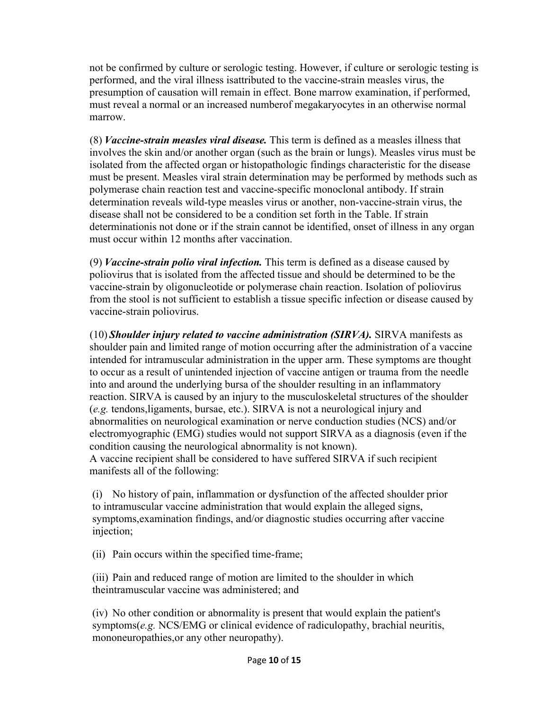not be confirmed by culture or serologic testing. However, if culture or serologic testing is performed, and the viral illness is attributed to the vaccine-strain measles virus, the presumption of causation will remain in effect. Bone marrow examination, if performed, must reveal a normal or an increased number of megakaryocytes in an otherwise normal marrow.

(8) *Vaccine-strain measles viral disease.* This term is defined as a measles illness that involves the skin and/or another organ (such as the brain or lungs). Measles virus must be isolated from the affected organ or histopathologic findings characteristic for the disease must be present. Measles viral strain determination may be performed by methods such as polymerase chain reaction test and vaccine-specific monoclonal antibody. If strain determination reveals wild-type measles virus or another, non-vaccine-strain virus, the disease shall not be considered to be a condition set forth in the Table. If strain determination is not done or if the strain cannot be identified, onset of illness in any organ must occur within 12 months after vaccination.

(9) *Vaccine-strain polio viral infection.* This term is defined as a disease caused by poliovirus that is isolated from the affected tissue and should be determined to be the vaccine-strain by oligonucleotide or polymerase chain reaction. Isolation of poliovirus from the stool is not sufficient to establish a tissue specific infection or disease caused by vaccine- strain poliovirus.

(10) *Shoulder injury related to vaccine administration (SIRVA).* SIRVA manifests as shoulder pain and limited range of motion occurring after the administration of a vaccine intended for intramuscular administration in the upper arm. These symptoms are thought to occur as a result of unintended injection of vaccine antigen or trauma from the needle into and around the underlying bursa of the shoulder resulting in an inflammatory reaction. SIRVA is caused by an injury to the musculoskeletal structures of the shoulder (*e.g.* tendons, ligaments, bursae, etc.). SIRVA is not a neurological injury and abnormalities on neurological examination or nerve conduction studies (NCS) and/or electromyographic (EMG) studies would not support SIRVA as a diagnosis (even if the condition causing the neurological abnormality is not known). A vaccine recipient shall be considered to have suffered SIRVA if such recipient manifests all of the following:

(i) No history of pain, inflammation or dysfunction of the affected shoulder prior to intramuscular vaccine administration that would explain the alleged signs, symptoms, examination findings, and/or diagnostic studies occurring after vaccine injection;

(ii) Pain occurs within the specified time-frame;

(iii) Pain and reduced range of motion are limited to the shoulder in which the intramuscular vaccine was administered; and

(iv) No other condition or abnormality is present that would explain the patient's symptoms(e.g. NCS/EMG or clinical evidence of radiculopathy, brachial neuritis, mononeuropathies, or any other neuropathy).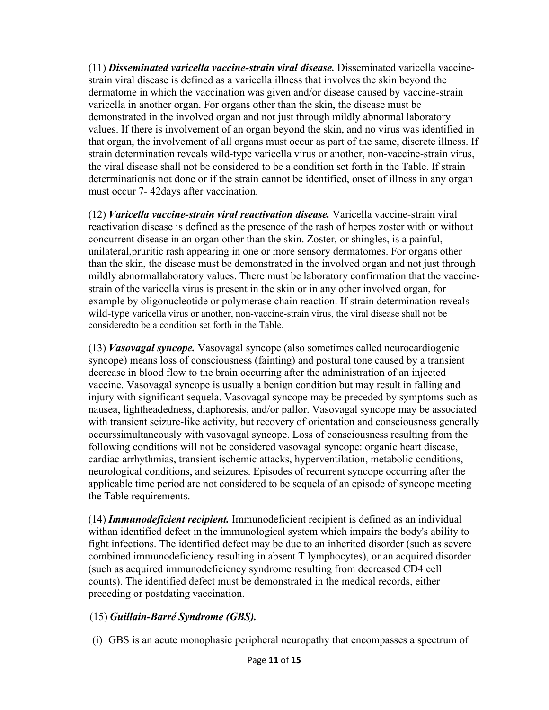(11) *Disseminated varicella vaccine-strain viral disease.* Disseminated varicella vaccinestrain viral disease is defined as a varicella illness that involves the skin beyond the dermatome in which the vaccination was given and/or disease caused by vaccine-strain varicella in another organ. For organs other than the skin, the disease must be demonstrated in the involved organ and not just through mildly abnormal laboratory values. If there is involvement of an organ beyond the skin, and no virus was identified in that organ, the involvement of all organs must occur as part of the same, discrete illness. If strain determination reveals wild-type varicella virus or another, non-vaccine-strain virus, the viral disease shall not be considered to be a condition set forth in the Table. If strain determination is not done or if the strain cannot be identified, onset of illness in any organ must occur 7- 42 days after vaccination.

(12) *Varicella vaccine-strain viral reactivation disease.* Varicella vaccine-strain viral reactivation disease is defined as the presence of the rash of herpes zoster with or without concurrent disease in an organ other than the skin. Zoster, or shingles, is a painful, unilateral, pruritic rash appearing in one or more sensory dermatomes. For organs other than the skin, the disease must be demonstrated in the involved organ and not just through mildly abnormallaboratory values. There must be laboratory confirmation that the vaccinestrain of the varicella virus is present in the skin or in any other involved organ, for example by oligonucleotide or polymerase chain reaction. If strain determination reveals wild-type varicella virus or another, non-vaccine-strain virus, the viral disease shall not be consideredto be a condition set forth in the Table.

(13) *Vasovagal syncope.* Vasovagal syncope (also sometimes called neurocardiogenic syncope) means loss of consciousness (fainting) and postural tone caused by a transient decrease in blood flow to the brain occurring after the administration of an injected vaccine. Vasovagal syncope is usually a benign condition but may result in falling and injury with significant sequela. Vasovagal syncope may be preceded by symptoms such as nausea, lightheadedness, diaphoresis, and/or pallor. Vasovagal syncope may be associated with transient seizure-like activity, but recovery of orientation and consciousness generally occurs simultaneously with vasovagal syncope. Loss of consciousness resulting from the following conditions will not be considered vasovagal syncope: organic heart disease, cardiac arrhythmias, transient ischemic attacks, hyperventilation, metabolic conditions, neurological conditions, and seizures. Episodes of recurrent syncope occurring after the applicable time period are not considered to be sequela of an episode of syncope meeting the Table requirements.

(14) *Immunodeficient recipient.* Immunodeficient recipient is defined as an individual with an identified defect in the immunological system which impairs the body's ability to fight infections. The identified defect may be due to an inherited disorder (such as severe combined immunodeficiency resulting in absent T lymphocytes), or an acquired disorder (such as acquired immunodeficiency syndrome resulting from decreased CD4 cell counts). The identified defect must be demonstrated in the medical records, either preceding or postdating vaccination.

## (15) *Guillain-Barré Syndrome (GBS).*

(i) GBS is an acute monophasic peripheral neuropathy that encompasses a spectrum of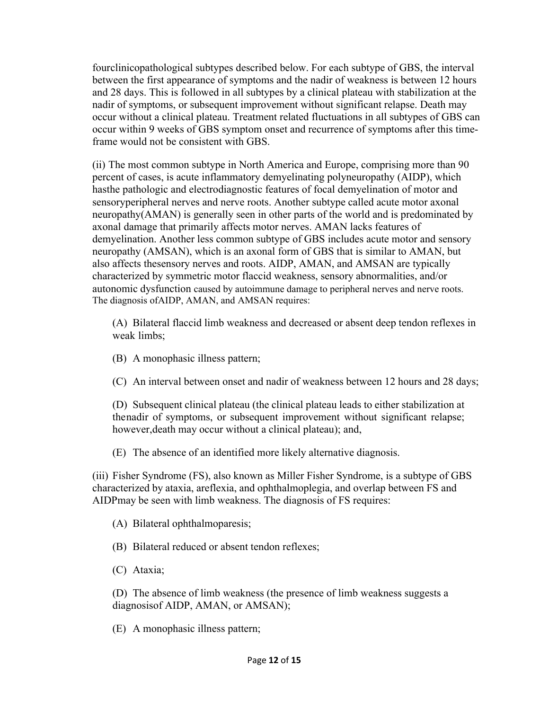four clinicopathological subtypes described below. For each subtype of GBS, the interval between the first appearance of symptoms and the nadir of weakness is between 12 hours and 28 days. This is followed in all subtypes by a clinical plateau with stabilization at the nadir of symptoms, or subsequent improvement without significant relapse. Death may occur without a clinical plateau. Treatment related fluctuations in all subtypes of GBS can occur within 9 weeks of GBS symptom onset and recurrence of symptoms after this timeframe would not be consistent with GBS.

(ii) The most common subtype in North America and Europe, comprising more than 90 percent of cases, is acute inflammatory demyelinating polyneuropathy (AIDP), which has the pathologic and electrodiagnostic features of focal demyelination of motor and sensory peripheral nerves and nerve roots. Another subtype called acute motor axonal neuropathy (AMAN) is generally seen in other parts of the world and is predominated by axonal damage that primarily affects motor nerves. AMAN lacks features of demyelination. Another less common subtype of GBS includes acute motor and sensory neuropathy (AMSAN), which is an axonal form of GBS that is similar to AMAN, but also affects the sensory nerves and roots. AIDP, AMAN, and AMSAN are typically characterized by symmetric motor flaccid weakness, sensory abnormalities, and/or autonomic dysfunction caused by autoimmune damage to peripheral nerves and nerve roots. The diagnosis ofAIDP, AMAN, and AMSAN requires:

(A) Bilateral flaccid limb weakness and decreased or absent deep tendon reflexes in weak limbs;

- (B) A monophasic illness pattern;
- (C) An interval between onset and nadir of weakness between 12 hours and 28 days;

(D) Subsequent clinical plateau (the clinical plateau leads to either stabilization at the nadir of symptoms, or subsequent improvement without significant relapse; however, death may occur without a clinical plateau); and,

(E) The absence of an identified more likely alternative diagnosis.

(iii) Fisher Syndrome (FS), also known as Miller Fisher Syndrome, is a subtype of GBS characterized by ataxia, areflexia, and ophthalmoplegia, and overlap between FS and AIDPmay be seen with limb weakness. The diagnosis of FS requires:

- (A) Bilateral ophthalmoparesis;
- (B) Bilateral reduced or absent tendon reflexes;
- (C) Ataxia;

(D) The absence of limb weakness (the presence of limb weakness suggests a diagnosis of AIDP, AMAN, or AMSAN);

(E) A monophasic illness pattern;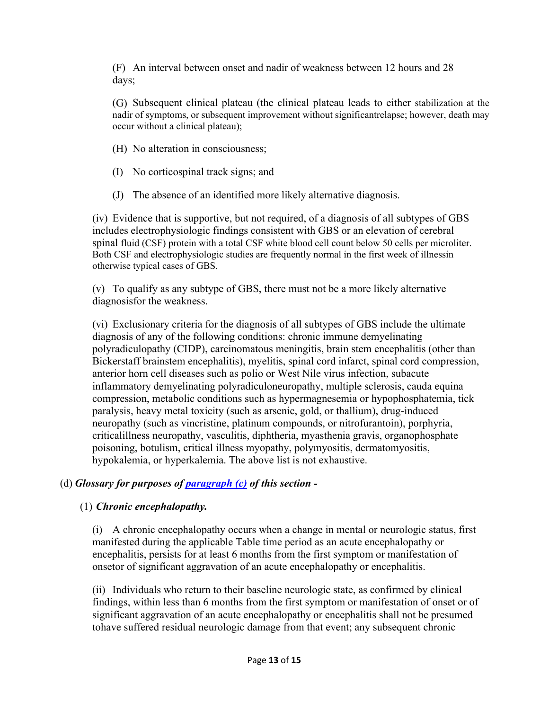(F) An interval between onset and nadir of weakness between 12 hours and 28 days;

(G) Subsequent clinical plateau (the clinical plateau leads to either stabilization at the nadir of symptoms, or subsequent improvement without significantrelapse; however, death may occur without a clinical plateau);

- (H) No alteration in consciousness;
- (I) No corticospinal track signs; and
- (J) The absence of an identified more likely alternative diagnosis.

(iv) Evidence that is supportive, but not required, of a diagnosis of all subtypes of GBS includes electrophysiologic findings consistent with GBS or an elevation of cerebral spinal fluid (CSF) protein with a total CSF white blood cell count below 50 cells per microliter. Both CSF and electrophysiologic studies are frequently normal in the first week of illnessin otherwise typical cases of GBS.

(v) To qualify as any subtype of GBS, there must not be a more likely alternative diagnosis for the weakness.

(vi) Exclusionary criteria for the diagnosis of all subtypes of GBS include the ultimate diagnosis of any of the following conditions: chronic immune demyelinating polyradiculopathy (CIDP), carcinomatous meningitis, brain stem encephalitis (other than Bickerstaff brainstem encephalitis), myelitis, spinal cord infarct, spinal cord compression, anterior horn cell diseases such as polio or West Nile virus infection, subacute inflammatory demyelinating polyradiculoneuropathy, multiple sclerosis, cauda equina compression, metabolic conditions such as hypermagnesemia or hypophosphatemia, tick paralysis, heavy metal toxicity (such as arsenic, gold, or thallium), drug-induced neuropathy (such as vincristine, platinum compounds, or nitrofurantoin), porphyria, critical illness neuropathy, vasculitis, diphtheria, myasthenia gravis, organophosphate poisoning, botulism, critical illness myopathy, polymyositis, dermatomyositis, hypokalemia, or hyperkalemia. The above list is not exhaustive.

#### (d) *Glossary for purposes of [paragraph \(c\) o](https://www.ecfr.gov/current/title-42/section-100.3#p-100.3(c))f this section -*

#### (1) *Chronic encephalopathy.*

(i) A chronic encephalopathy occurs when a change in mental or neurologic status, first manifested during the applicable Table time period as an acute encephalopathy or encephalitis, persists for at least 6 months from the first symptom or manifestation of onsetor of significant aggravation of an acute encephalopathy or encephalitis.

(ii) Individuals who return to their baseline neurologic state, as confirmed by clinical findings, within less than 6 months from the first symptom or manifestation of onset or of significant aggravation of an acute encephalopathy or encephalitis shall not be presumed to have suffered residual neurologic damage from that event; any subsequent chronic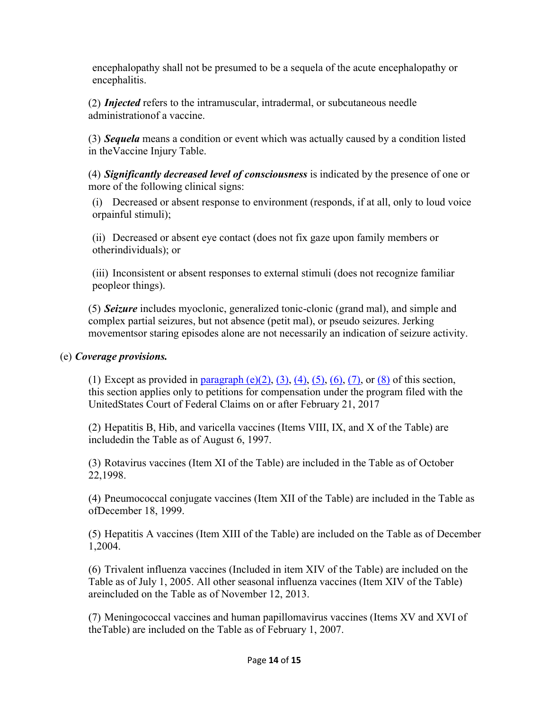encephalopathy shall not be presumed to be a sequela of the acute encephalopathy or encephalitis.

(2) *Injected* refers to the intramuscular, intradermal, or subcutaneous needle administration of a vaccine.

(3) *Sequela* means a condition or event which was actually caused by a condition listed in the Vaccine Injury Table.

(4) *Significantly decreased level of consciousness* is indicated by the presence of one or more of the following clinical signs:

(i) Decreased or absent response to environment (responds, if at all, only to loud voice orpainful stimuli);

(ii) Decreased or absent eye contact (does not fix gaze upon family members or otherindividuals); or

(iii) Inconsistent or absent responses to external stimuli (does not recognize familiar people or things).

(5) *Seizure* includes myoclonic, generalized tonic-clonic (grand mal), and simple and complex partial seizures, but not absence (petit mal), or pseudo seizures. Jerking movements or staring episodes alone are not necessarily an indication of seizure activity.

#### (e) *Coverage provisions.*

(1) Except as provided in [paragraph \(e\)\(2\),](https://www.ecfr.gov/current/title-42/section-100.3#p-100.3(e)(2)) [\(3\),](https://www.ecfr.gov/current/title-42/section-100.3#p-100.3(e)(3)) [\(4\),](https://www.ecfr.gov/current/title-42/section-100.3#p-100.3(e)(4)) [\(5\),](https://www.ecfr.gov/current/title-42/section-100.3#p-100.3(e)(5)) [\(6\),](https://www.ecfr.gov/current/title-42/section-100.3#p-100.3(e)(6)) [\(7\),](https://www.ecfr.gov/current/title-42/section-100.3#p-100.3(e)(7)) or [\(8\) o](https://www.ecfr.gov/current/title-42/section-100.3#p-100.3(e)(8))f this section, this section applies only to petitions for compensation under the program filed with the UnitedStates Court of Federal Claims on or after February 21, 2017

(2) Hepatitis B, Hib, and varicella vaccines (Items VIII, IX, and X of the Table) are included in the Table as of August 6, 1997.

(3) Rotavirus vaccines (Item XI of the Table) are included in the Table as of October 22, 1998.

(4) Pneumococcal conjugate vaccines (Item XII of the Table) are included in the Table as of December 18, 1999.

(5) Hepatitis A vaccines (Item XIII of the Table) are included on the Table as of December 1, 2004.

(6) Trivalent influenza vaccines (Included in item XIV of the Table) are included on the Table as of July 1, 2005. All other seasonal influenza vaccines (Item XIV of the Table) are included on the Table as of November 12, 2013.

(7) Meningococcal vaccines and human papillomavirus vaccines (Items XV and XVI of the Table) are included on the Table as of February 1, 2007.